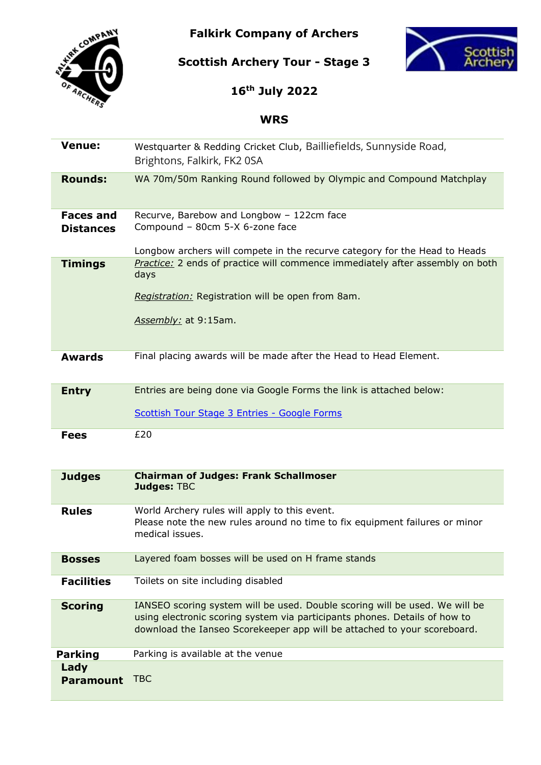**Falkirk Company of Archers**



**Scottish Archery Tour - Stage 3**



**16th July 2022**

# **WRS**

| <b>Venue:</b>                        | Westquarter & Redding Cricket Club, Bailliefields, Sunnyside Road,<br>Brightons, Falkirk, FK2 0SA                                                                                                                                     |
|--------------------------------------|---------------------------------------------------------------------------------------------------------------------------------------------------------------------------------------------------------------------------------------|
| <b>Rounds:</b>                       | WA 70m/50m Ranking Round followed by Olympic and Compound Matchplay                                                                                                                                                                   |
| <b>Faces and</b><br><b>Distances</b> | Recurve, Barebow and Longbow - 122cm face<br>Compound - 80cm 5-X 6-zone face<br>Longbow archers will compete in the recurve category for the Head to Heads                                                                            |
| <b>Timings</b>                       | Practice: 2 ends of practice will commence immediately after assembly on both<br>days<br>Registration: Registration will be open from 8am.<br>Assembly: at 9:15am.                                                                    |
| <b>Awards</b>                        | Final placing awards will be made after the Head to Head Element.                                                                                                                                                                     |
| <b>Entry</b>                         | Entries are being done via Google Forms the link is attached below:<br>Scottish Tour Stage 3 Entries - Google Forms                                                                                                                   |
| <b>Fees</b>                          | £20                                                                                                                                                                                                                                   |
| <b>Judges</b>                        | <b>Chairman of Judges: Frank Schallmoser</b><br><b>Judges: TBC</b>                                                                                                                                                                    |
| <b>Rules</b>                         | World Archery rules will apply to this event.<br>Please note the new rules around no time to fix equipment failures or minor<br>medical issues.                                                                                       |
| <b>Bosses</b>                        | Layered foam bosses will be used on H frame stands                                                                                                                                                                                    |
| <b>Facilities</b>                    | Toilets on site including disabled                                                                                                                                                                                                    |
| <b>Scoring</b>                       | IANSEO scoring system will be used. Double scoring will be used. We will be<br>using electronic scoring system via participants phones. Details of how to<br>download the Ianseo Scorekeeper app will be attached to your scoreboard. |
| <b>Parking</b>                       | Parking is available at the venue                                                                                                                                                                                                     |
| Lady<br><b>Paramount</b>             | <b>TBC</b>                                                                                                                                                                                                                            |